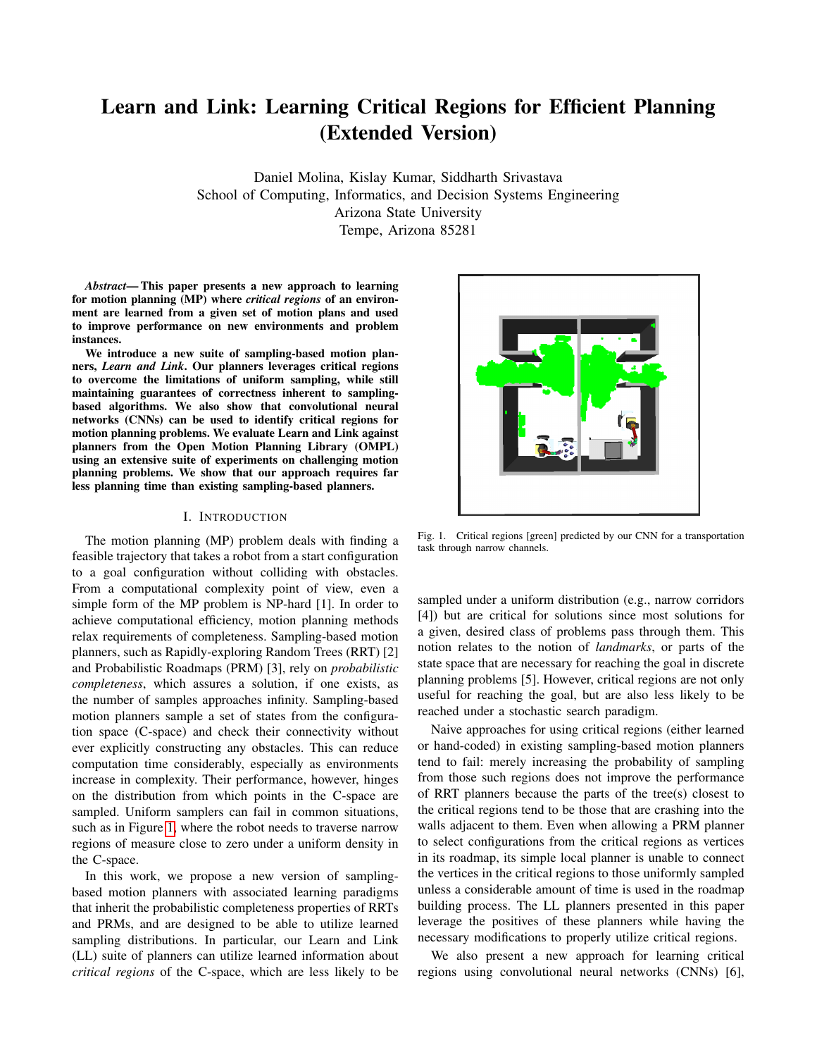# Learn and Link: Learning Critical Regions for Efficient Planning (Extended Version)

Daniel Molina, Kislay Kumar, Siddharth Srivastava School of Computing, Informatics, and Decision Systems Engineering Arizona State University Tempe, Arizona 85281

*Abstract*— This paper presents a new approach to learning for motion planning (MP) where *critical regions* of an environment are learned from a given set of motion plans and used to improve performance on new environments and problem instances.

We introduce a new suite of sampling-based motion planners, *Learn and Link*. Our planners leverages critical regions to overcome the limitations of uniform sampling, while still maintaining guarantees of correctness inherent to samplingbased algorithms. We also show that convolutional neural networks (CNNs) can be used to identify critical regions for motion planning problems. We evaluate Learn and Link against planners from the Open Motion Planning Library (OMPL) using an extensive suite of experiments on challenging motion planning problems. We show that our approach requires far less planning time than existing sampling-based planners.

#### I. INTRODUCTION

The motion planning (MP) problem deals with finding a feasible trajectory that takes a robot from a start configuration to a goal configuration without colliding with obstacles. From a computational complexity point of view, even a simple form of the MP problem is NP-hard [1]. In order to achieve computational efficiency, motion planning methods relax requirements of completeness. Sampling-based motion planners, such as Rapidly-exploring Random Trees (RRT) [2] and Probabilistic Roadmaps (PRM) [3], rely on *probabilistic completeness*, which assures a solution, if one exists, as the number of samples approaches infinity. Sampling-based motion planners sample a set of states from the configuration space (C-space) and check their connectivity without ever explicitly constructing any obstacles. This can reduce computation time considerably, especially as environments increase in complexity. Their performance, however, hinges on the distribution from which points in the C-space are sampled. Uniform samplers can fail in common situations, such as in Figure [1,](#page-0-0) where the robot needs to traverse narrow regions of measure close to zero under a uniform density in the C-space.

In this work, we propose a new version of samplingbased motion planners with associated learning paradigms that inherit the probabilistic completeness properties of RRTs and PRMs, and are designed to be able to utilize learned sampling distributions. In particular, our Learn and Link (LL) suite of planners can utilize learned information about *critical regions* of the C-space, which are less likely to be



<span id="page-0-0"></span>Fig. 1. Critical regions [green] predicted by our CNN for a transportation task through narrow channels.

sampled under a uniform distribution (e.g., narrow corridors [4]) but are critical for solutions since most solutions for a given, desired class of problems pass through them. This notion relates to the notion of *landmarks*, or parts of the state space that are necessary for reaching the goal in discrete planning problems [5]. However, critical regions are not only useful for reaching the goal, but are also less likely to be reached under a stochastic search paradigm.

Naive approaches for using critical regions (either learned or hand-coded) in existing sampling-based motion planners tend to fail: merely increasing the probability of sampling from those such regions does not improve the performance of RRT planners because the parts of the tree(s) closest to the critical regions tend to be those that are crashing into the walls adjacent to them. Even when allowing a PRM planner to select configurations from the critical regions as vertices in its roadmap, its simple local planner is unable to connect the vertices in the critical regions to those uniformly sampled unless a considerable amount of time is used in the roadmap building process. The LL planners presented in this paper leverage the positives of these planners while having the necessary modifications to properly utilize critical regions.

We also present a new approach for learning critical regions using convolutional neural networks (CNNs) [6],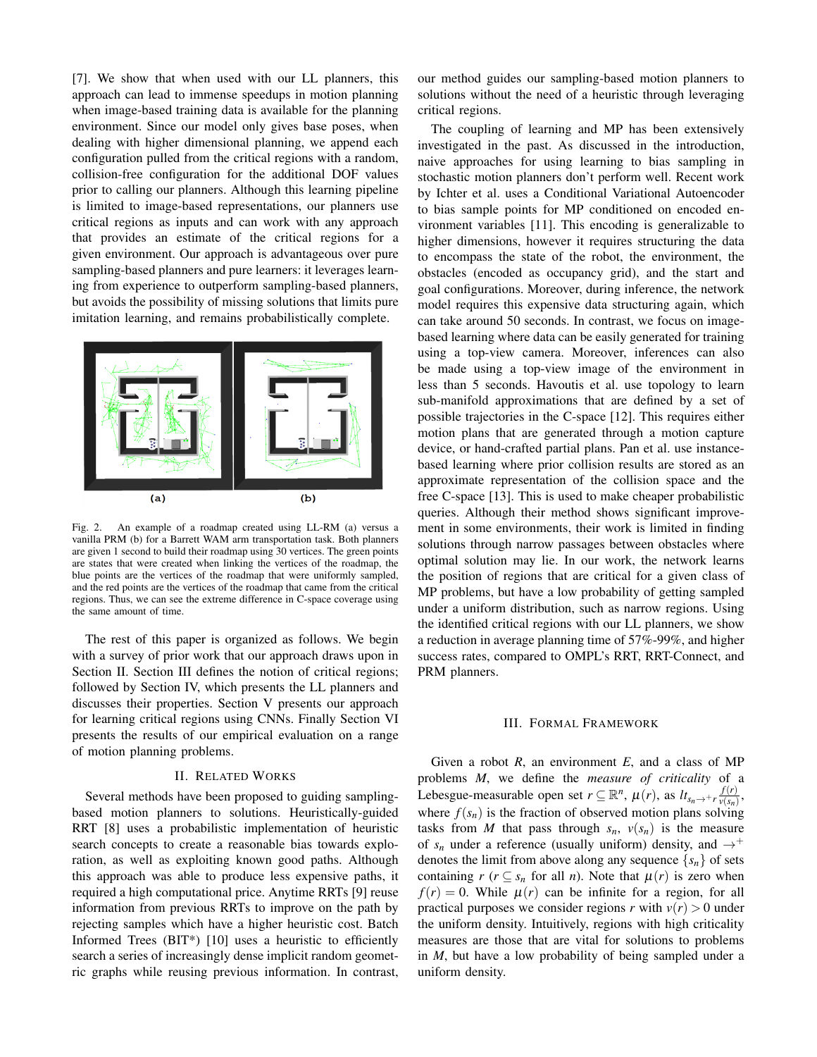[7]. We show that when used with our LL planners, this approach can lead to immense speedups in motion planning when image-based training data is available for the planning environment. Since our model only gives base poses, when dealing with higher dimensional planning, we append each configuration pulled from the critical regions with a random, collision-free configuration for the additional DOF values prior to calling our planners. Although this learning pipeline is limited to image-based representations, our planners use critical regions as inputs and can work with any approach that provides an estimate of the critical regions for a given environment. Our approach is advantageous over pure sampling-based planners and pure learners: it leverages learning from experience to outperform sampling-based planners, but avoids the possibility of missing solutions that limits pure imitation learning, and remains probabilistically complete.



Fig. 2. An example of a roadmap created using LL-RM (a) versus a vanilla PRM (b) for a Barrett WAM arm transportation task. Both planners are given 1 second to build their roadmap using 30 vertices. The green points are states that were created when linking the vertices of the roadmap, the blue points are the vertices of the roadmap that were uniformly sampled, and the red points are the vertices of the roadmap that came from the critical regions. Thus, we can see the extreme difference in C-space coverage using the same amount of time.

The rest of this paper is organized as follows. We begin with a survey of prior work that our approach draws upon in Section II. Section III defines the notion of critical regions; followed by Section IV, which presents the LL planners and discusses their properties. Section V presents our approach for learning critical regions using CNNs. Finally Section VI presents the results of our empirical evaluation on a range of motion planning problems.

#### II. RELATED WORKS

Several methods have been proposed to guiding samplingbased motion planners to solutions. Heuristically-guided RRT [8] uses a probabilistic implementation of heuristic search concepts to create a reasonable bias towards exploration, as well as exploiting known good paths. Although this approach was able to produce less expensive paths, it required a high computational price. Anytime RRTs [9] reuse information from previous RRTs to improve on the path by rejecting samples which have a higher heuristic cost. Batch Informed Trees (BIT\*) [10] uses a heuristic to efficiently search a series of increasingly dense implicit random geometric graphs while reusing previous information. In contrast,

our method guides our sampling-based motion planners to solutions without the need of a heuristic through leveraging critical regions.

The coupling of learning and MP has been extensively investigated in the past. As discussed in the introduction, naive approaches for using learning to bias sampling in stochastic motion planners don't perform well. Recent work by Ichter et al. uses a Conditional Variational Autoencoder to bias sample points for MP conditioned on encoded environment variables [11]. This encoding is generalizable to higher dimensions, however it requires structuring the data to encompass the state of the robot, the environment, the obstacles (encoded as occupancy grid), and the start and goal configurations. Moreover, during inference, the network model requires this expensive data structuring again, which can take around 50 seconds. In contrast, we focus on imagebased learning where data can be easily generated for training using a top-view camera. Moreover, inferences can also be made using a top-view image of the environment in less than 5 seconds. Havoutis et al. use topology to learn sub-manifold approximations that are defined by a set of possible trajectories in the C-space [12]. This requires either motion plans that are generated through a motion capture device, or hand-crafted partial plans. Pan et al. use instancebased learning where prior collision results are stored as an approximate representation of the collision space and the free C-space [13]. This is used to make cheaper probabilistic queries. Although their method shows significant improvement in some environments, their work is limited in finding solutions through narrow passages between obstacles where optimal solution may lie. In our work, the network learns the position of regions that are critical for a given class of MP problems, but have a low probability of getting sampled under a uniform distribution, such as narrow regions. Using the identified critical regions with our LL planners, we show a reduction in average planning time of 57%-99%, and higher success rates, compared to OMPL's RRT, RRT-Connect, and PRM planners.

#### III. FORMAL FRAMEWORK

Given a robot *R*, an environment *E*, and a class of MP problems *M*, we define the *measure of criticality* of a Lebesgue-measurable open set  $r \subseteq \mathbb{R}^n$ ,  $\mu(r)$ , as  $lt_{s_n \to +r} \frac{f(r)}{v(s_n)}$  $\frac{f(r)}{v(s_n)}$ , where  $f(s_n)$  is the fraction of observed motion plans solving tasks from *M* that pass through  $s_n$ ,  $v(s_n)$  is the measure of  $s_n$  under a reference (usually uniform) density, and  $\rightarrow^+$ denotes the limit from above along any sequence  $\{s_n\}$  of sets containing  $r$  ( $r \subseteq s_n$  for all *n*). Note that  $\mu(r)$  is zero when  $f(r) = 0$ . While  $\mu(r)$  can be infinite for a region, for all practical purposes we consider regions *r* with  $v(r) > 0$  under the uniform density. Intuitively, regions with high criticality measures are those that are vital for solutions to problems in *M*, but have a low probability of being sampled under a uniform density.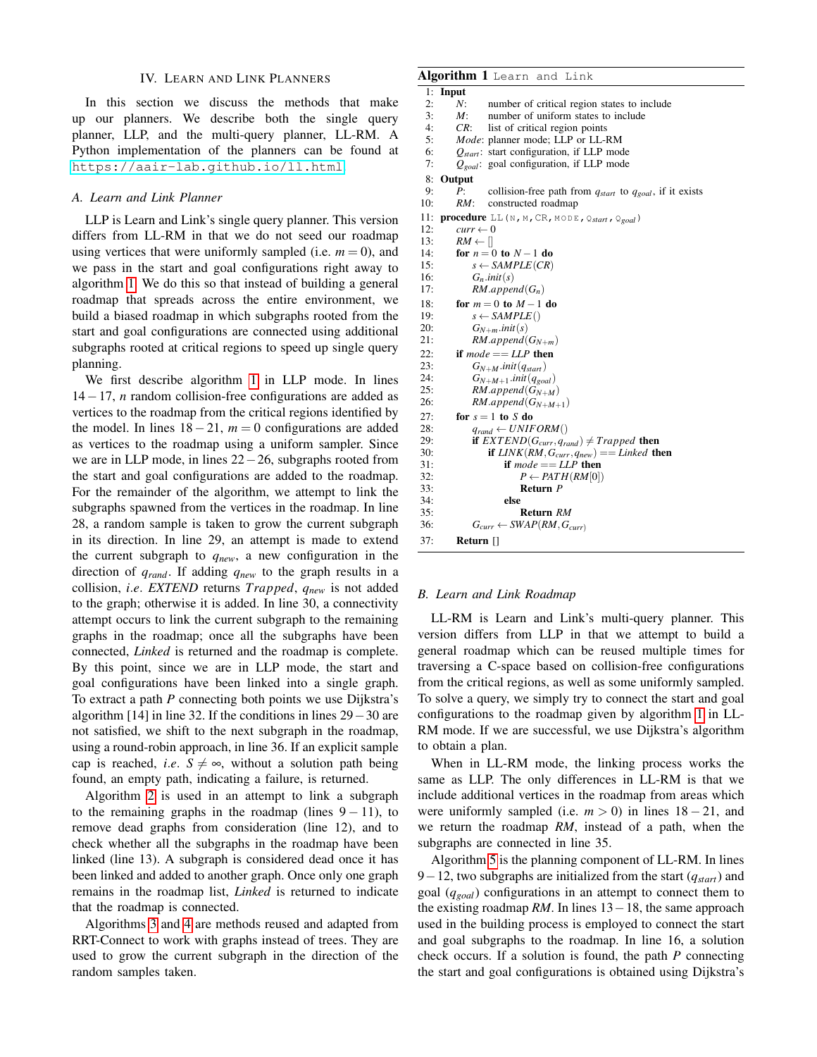#### IV. LEARN AND LINK PLANNERS

In this section we discuss the methods that make up our planners. We describe both the single query planner, LLP, and the multi-query planner, LL-RM. A Python implementation of the planners can be found at <https://aair-lab.github.io/ll.html>.

# *A. Learn and Link Planner*

LLP is Learn and Link's single query planner. This version differs from LL-RM in that we do not seed our roadmap using vertices that were uniformly sampled (i.e.  $m = 0$ ), and we pass in the start and goal configurations right away to algorithm [1.](#page-2-0) We do this so that instead of building a general roadmap that spreads across the entire environment, we build a biased roadmap in which subgraphs rooted from the start and goal configurations are connected using additional subgraphs rooted at critical regions to speed up single query planning.

We first describe algorithm [1](#page-2-0) in LLP mode. In lines 14−17, *n* random collision-free configurations are added as vertices to the roadmap from the critical regions identified by the model. In lines 18−21, *m* = 0 configurations are added as vertices to the roadmap using a uniform sampler. Since we are in LLP mode, in lines 22−26, subgraphs rooted from the start and goal configurations are added to the roadmap. For the remainder of the algorithm, we attempt to link the subgraphs spawned from the vertices in the roadmap. In line 28, a random sample is taken to grow the current subgraph in its direction. In line 29, an attempt is made to extend the current subgraph to *qnew*, a new configuration in the direction of *qrand*. If adding *qnew* to the graph results in a collision, *i*.*e*. *EXTEND* returns *Trapped*, *qnew* is not added to the graph; otherwise it is added. In line 30, a connectivity attempt occurs to link the current subgraph to the remaining graphs in the roadmap; once all the subgraphs have been connected, *Linked* is returned and the roadmap is complete. By this point, since we are in LLP mode, the start and goal configurations have been linked into a single graph. To extract a path *P* connecting both points we use Dijkstra's algorithm [14] in line 32. If the conditions in lines 29−30 are not satisfied, we shift to the next subgraph in the roadmap, using a round-robin approach, in line 36. If an explicit sample cap is reached, *i.e.*  $S \neq \infty$ , without a solution path being found, an empty path, indicating a failure, is returned.

Algorithm [2](#page-3-0) is used in an attempt to link a subgraph to the remaining graphs in the roadmap (lines  $9 - 11$ ), to remove dead graphs from consideration (line 12), and to check whether all the subgraphs in the roadmap have been linked (line 13). A subgraph is considered dead once it has been linked and added to another graph. Once only one graph remains in the roadmap list, *Linked* is returned to indicate that the roadmap is connected.

Algorithms [3](#page-3-1) and [4](#page-3-2) are methods reused and adapted from RRT-Connect to work with graphs instead of trees. They are used to grow the current subgraph in the direction of the random samples taken.

# Algorithm 1 Learn and Link 1: Input<br>  $\frac{1}{2}$ . Input

- <span id="page-2-0"></span>2: *N*: number of critical region states to include<br>3: *M*: number of uniform states to include
- 3: *M*: number of uniform states to include<br>4: *CR*: list of critical region points list of critical region points
- 5: *Mode*: planner mode; LLP or LL-RM
- 6: *Qstart* : start configuration, if LLP mode
- 7: *Qgoal*: goal configuration, if LLP mode

8: Output

- 9: *P*: collision-free path from *qstart* to *qgoal*, if it exists
	- constructed roadmap
- 11: **procedure** LL(N, M, CR, MODE, Q<sub>start</sub>, Q<sub>goal</sub>)<br>12:  $cur \leftarrow 0$  $curr \leftarrow 0$

13:  $RM \leftarrow []$ 14: **for**  $n = 0$  to  $N - 1$  do<br>15:  $s \leftarrow SAMPLE(CR)$  $s \leftarrow$  *SAMPLE*(*CR*)

|     | $\frac{1}{2}$                                          |
|-----|--------------------------------------------------------|
| 16: | $G_n$ .init(s)                                         |
| 17: | $RM.append(G_n)$                                       |
| 18: | for $m = 0$ to $M - 1$ do                              |
| 19: | $s \leftarrow SAMPLE()$                                |
| 20: | $G_{N+m}.init(s)$                                      |
| 21: | $RM.append(G_{N+m})$                                   |
| 22: | if $mode == LLP$ then                                  |
| 23: | $G_{N+M}.init(q_{start})$                              |
| 24: | $G_{N+M+1}.init(q_{goal})$                             |
| 25: | $RM.append(G_{N+M})$                                   |
| 26: | $RM.append(G_{N+M+1})$                                 |
| 27: | for $s = 1$ to S do                                    |
| 28: | $q_{rand} \leftarrow UNIFORM()$                        |
| 29: | if $EXTEND(G_{curr}, q_{rand}) \neq Trapped$ then      |
| 30: | <b>if</b> $LINK(RM, G_{curr}, q_{new}) == Linked$ then |
| 31: | if $mode == LLP$ then                                  |
| 32: | $P \leftarrow PATH(RM 0 )$                             |
| 33: | Return P                                               |
| 34: | else                                                   |
| 35: | Return RM                                              |
| 36: | $G_{curr} \leftarrow SWAP(RM, G_{curr})$               |
| 37: | Return []                                              |

#### *B. Learn and Link Roadmap*

LL-RM is Learn and Link's multi-query planner. This version differs from LLP in that we attempt to build a general roadmap which can be reused multiple times for traversing a C-space based on collision-free configurations from the critical regions, as well as some uniformly sampled. To solve a query, we simply try to connect the start and goal configurations to the roadmap given by algorithm [1](#page-2-0) in LL-RM mode. If we are successful, we use Dijkstra's algorithm to obtain a plan.

When in LL-RM mode, the linking process works the same as LLP. The only differences in LL-RM is that we include additional vertices in the roadmap from areas which were uniformly sampled (i.e.  $m > 0$ ) in lines  $18 - 21$ , and we return the roadmap *RM*, instead of a path, when the subgraphs are connected in line 35.

Algorithm [5](#page-3-3) is the planning component of LL-RM. In lines 9−12, two subgraphs are initialized from the start (*qstart*) and goal (*qgoal*) configurations in an attempt to connect them to the existing roadmap *RM*. In lines 13−18, the same approach used in the building process is employed to connect the start and goal subgraphs to the roadmap. In line 16, a solution check occurs. If a solution is found, the path *P* connecting the start and goal configurations is obtained using Dijkstra's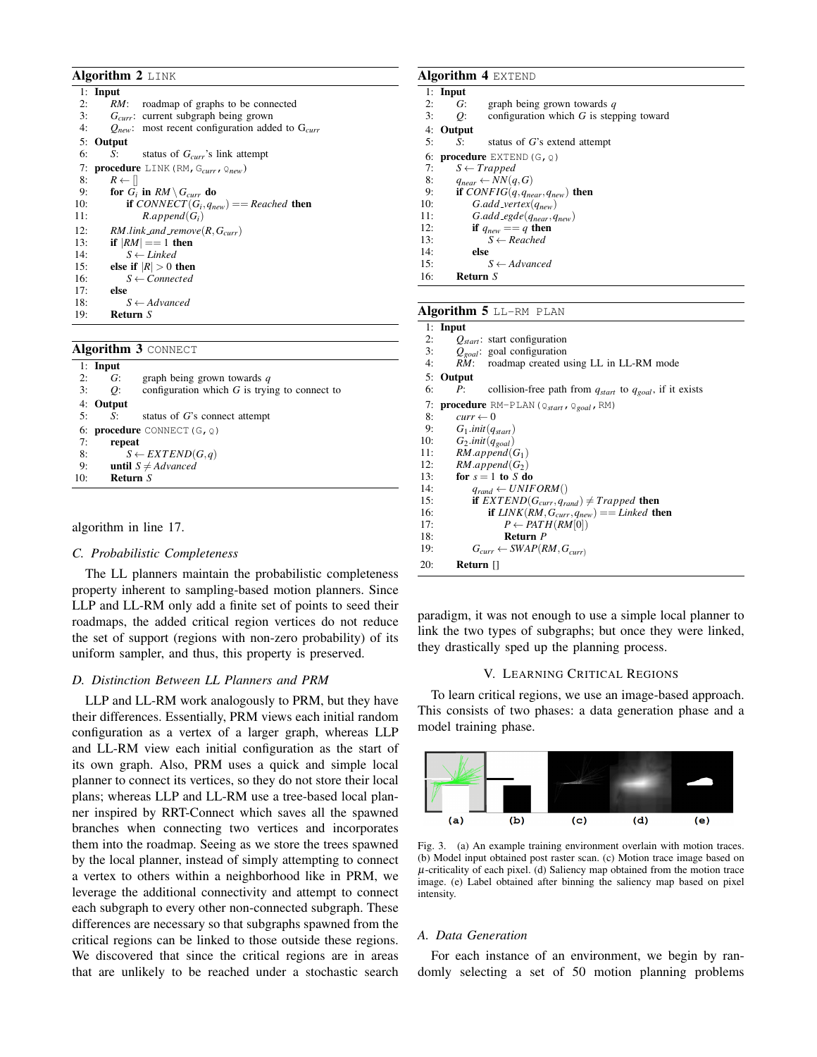#### Algorithm 2 LINK

<span id="page-3-0"></span>

|     | $1:$ Input                                                |
|-----|-----------------------------------------------------------|
| 2:  | roadmap of graphs to be connected<br>RM:                  |
| 3:  | $G_{curr}$ : current subgraph being grown                 |
| 4:  | $Q_{new}$ : most recent configuration added to $G_{curr}$ |
|     | 5: Output                                                 |
| 6:  | status of $G_{curr}$ 's link attempt<br>$S_1$ and $S_2$   |
| 7:  | <b>procedure</b> LINK (RM, $G_{curr}$ , $Q_{new}$ )       |
| 8:  | $R \leftarrow   $                                         |
| 9:  | for $G_i$ in $RM \setminus G_{curr}$ do                   |
| 10: | <b>if</b> CONNECT( $G_i, q_{new}$ ) = Reached <b>then</b> |
| 11: | $R.append(G_i)$                                           |
| 12: | $RM$ .link_and_remove(R, $G_{curr}$ )                     |
| 13: | if $ RM  == 1$ then                                       |
| 14: | $S \leftarrow$ Linked                                     |
| 15: | else if $ R  > 0$ then                                    |
| 16: | $S \leftarrow Connected$                                  |
| 17: | else                                                      |
| 18: | $S \leftarrow Advanced$                                   |
| 19: | Return S                                                  |

Algorithm 3 CONNECT

<span id="page-3-1"></span>

|     | $1:$ Input |                                                 |
|-----|------------|-------------------------------------------------|
| 2:  | G:         | graph being grown towards $q$                   |
| 3:  | O:         | configuration which $G$ is trying to connect to |
|     | 4: Output  |                                                 |
| 5:  | $S$ :      | status of $G$ 's connect attempt                |
|     |            | 6: <b>procedure</b> CONNECT $(G, Q)$            |
| 7:  | repeat     |                                                 |
| 8:  |            | $S \leftarrow EXTEND(G,q)$                      |
| 9:  |            | <b>until</b> $S \neq Advanced$                  |
| 10: | Return S   |                                                 |

algorithm in line 17.

#### *C. Probabilistic Completeness*

The LL planners maintain the probabilistic completeness property inherent to sampling-based motion planners. Since LLP and LL-RM only add a finite set of points to seed their roadmaps, the added critical region vertices do not reduce the set of support (regions with non-zero probability) of its uniform sampler, and thus, this property is preserved.

#### *D. Distinction Between LL Planners and PRM*

LLP and LL-RM work analogously to PRM, but they have their differences. Essentially, PRM views each initial random configuration as a vertex of a larger graph, whereas LLP and LL-RM view each initial configuration as the start of its own graph. Also, PRM uses a quick and simple local planner to connect its vertices, so they do not store their local plans; whereas LLP and LL-RM use a tree-based local planner inspired by RRT-Connect which saves all the spawned branches when connecting two vertices and incorporates them into the roadmap. Seeing as we store the trees spawned by the local planner, instead of simply attempting to connect a vertex to others within a neighborhood like in PRM, we leverage the additional connectivity and attempt to connect each subgraph to every other non-connected subgraph. These differences are necessary so that subgraphs spawned from the critical regions can be linked to those outside these regions. We discovered that since the critical regions are in areas that are unlikely to be reached under a stochastic search

# Algorithm 4 EXTEND

<span id="page-3-2"></span>

|     | $1:$ Input |                                                          |
|-----|------------|----------------------------------------------------------|
| 2:  | G:         | graph being grown towards $q$                            |
| 3:  | O:         | configuration which $G$ is stepping toward               |
|     | 4: Output  |                                                          |
| 5:  | S:         | status of $G$ 's extend attempt                          |
| 6:  |            | <b>procedure</b> EXTEND $(G, Q)$                         |
| 7:  |            | $S \leftarrow Trapped$                                   |
| 8:  |            | $q_{near} \leftarrow NN(q, G)$                           |
| 9:  |            | if CONFIG(q, q <sub>near</sub> , q <sub>new</sub> ) then |
| 10: |            | $G.add\_vertex(q_{new})$                                 |
| 11: |            | $G.add\_egde(q_{near}, q_{new})$                         |
| 12: |            | if $q_{new} == q$ then                                   |
| 13: |            | $S \leftarrow Reached$                                   |
| 14: | else       |                                                          |
| 15: |            | $S \leftarrow Advanced$                                  |
| 16: | Return S   |                                                          |
|     |            |                                                          |

#### Algorithm 5 LL-RM PLAN

<span id="page-3-3"></span>

|     | $1:$ Input                                                              |
|-----|-------------------------------------------------------------------------|
| 2:  | $Q_{start}$ : start configuration                                       |
| 3:  | $Q_{goal}$ : goal configuration                                         |
| 4:  | roadmap created using LL in LL-RM mode<br>RM:                           |
| 5:  | Output                                                                  |
| 6:  | collision-free path from $q_{start}$ to $q_{goal}$ , if it exists<br>P: |
| 7:  | procedure RM-PLAN ( $\mathcal{Q}_{start}$ , $\mathcal{Q}_{goal}$ , RM)  |
| 8:  | $curr \leftarrow 0$                                                     |
| 9:  | $G_1$ .init( $q_{start}$ )                                              |
| 10: | $G_2$ .init $(q_{goal})$                                                |
| 11: | $RM.append(G_1)$                                                        |
| 12: | $RM.append(G_2)$                                                        |
| 13: | for $s = 1$ to S do                                                     |
| 14: | $q_{rand} \leftarrow UNIFORM()$                                         |
| 15: | <b>if</b> $EXTEND(G_{curr}, q_{rand}) \neq Trapped$ then                |
| 16: | <b>if</b> $LINK(RM, G_{curr}, q_{new}) == Linked$ then                  |
| 17: | $P \leftarrow PATH(RM[0])$                                              |
| 18: | Return P                                                                |
| 19: | $G_{curr} \leftarrow SWAP(RM, G_{curr})$                                |
| 20: | Return $\Box$                                                           |

paradigm, it was not enough to use a simple local planner to link the two types of subgraphs; but once they were linked, they drastically sped up the planning process.

#### <span id="page-3-4"></span>V. LEARNING CRITICAL REGIONS

To learn critical regions, we use an image-based approach. This consists of two phases: a data generation phase and a model training phase.



Fig. 3. (a) An example training environment overlain with motion traces. (b) Model input obtained post raster scan. (c) Motion trace image based on  $\mu$ -criticality of each pixel. (d) Saliency map obtained from the motion trace image. (e) Label obtained after binning the saliency map based on pixel intensity.

### *A. Data Generation*

For each instance of an environment, we begin by randomly selecting a set of 50 motion planning problems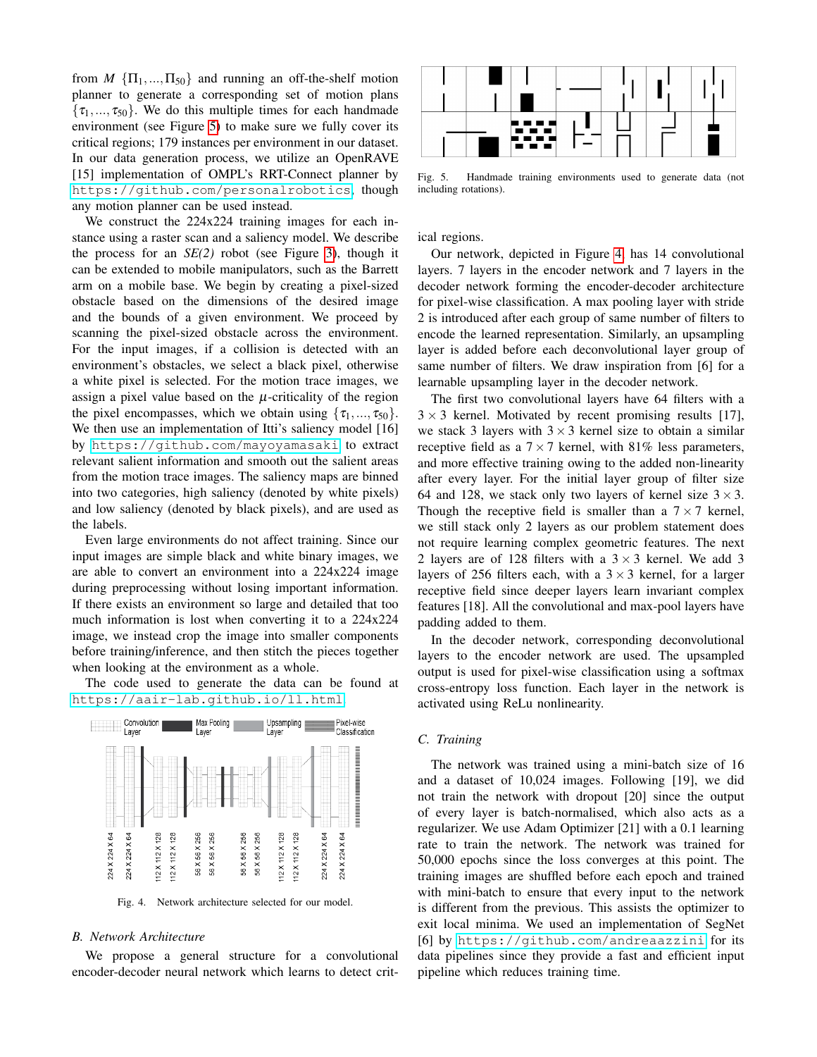from  $M \{ \Pi_1, ..., \Pi_{50} \}$  and running an off-the-shelf motion planner to generate a corresponding set of motion plans  $\{\tau_1, ..., \tau_{50}\}.$  We do this multiple times for each handmade environment (see Figure [5\)](#page-4-0) to make sure we fully cover its critical regions; 179 instances per environment in our dataset. In our data generation process, we utilize an OpenRAVE [15] implementation of OMPL's RRT-Connect planner by [https://github.com/personalrobotics](https://github.com/personalrobotics/or_ompl), though any motion planner can be used instead.

We construct the 224x224 training images for each instance using a raster scan and a saliency model. We describe the process for an *SE(2)* robot (see Figure [3\)](#page-3-4), though it can be extended to mobile manipulators, such as the Barrett arm on a mobile base. We begin by creating a pixel-sized obstacle based on the dimensions of the desired image and the bounds of a given environment. We proceed by scanning the pixel-sized obstacle across the environment. For the input images, if a collision is detected with an environment's obstacles, we select a black pixel, otherwise a white pixel is selected. For the motion trace images, we assign a pixel value based on the  $\mu$ -criticality of the region the pixel encompasses, which we obtain using  $\{\tau_1, ..., \tau_{50}\}.$ We then use an implementation of Itti's saliency model [16] by [https://github.com/mayoyamasaki](https://github.com/mayoyamasaki/saliency-map) to extract relevant salient information and smooth out the salient areas from the motion trace images. The saliency maps are binned into two categories, high saliency (denoted by white pixels) and low saliency (denoted by black pixels), and are used as the labels.

Even large environments do not affect training. Since our input images are simple black and white binary images, we are able to convert an environment into a 224x224 image during preprocessing without losing important information. If there exists an environment so large and detailed that too much information is lost when converting it to a 224x224 image, we instead crop the image into smaller components before training/inference, and then stitch the pieces together when looking at the environment as a whole.

The code used to generate the data can be found at <https://aair-lab.github.io/ll.html>.



Fig. 4. Network architecture selected for our model.

#### *B. Network Architecture*

We propose a general structure for a convolutional encoder-decoder neural network which learns to detect crit-



<span id="page-4-0"></span>Fig. 5. Handmade training environments used to generate data (not including rotations).

ical regions.

Our network, depicted in Figure [4,](#page-4-1) has 14 convolutional layers. 7 layers in the encoder network and 7 layers in the decoder network forming the encoder-decoder architecture for pixel-wise classification. A max pooling layer with stride 2 is introduced after each group of same number of filters to encode the learned representation. Similarly, an upsampling layer is added before each deconvolutional layer group of same number of filters. We draw inspiration from [6] for a learnable upsampling layer in the decoder network.

The first two convolutional layers have 64 filters with a  $3 \times 3$  kernel. Motivated by recent promising results [17], we stack 3 layers with  $3 \times 3$  kernel size to obtain a similar receptive field as a  $7 \times 7$  kernel, with 81% less parameters, and more effective training owing to the added non-linearity after every layer. For the initial layer group of filter size 64 and 128, we stack only two layers of kernel size  $3 \times 3$ . Though the receptive field is smaller than a  $7 \times 7$  kernel, we still stack only 2 layers as our problem statement does not require learning complex geometric features. The next 2 layers are of 128 filters with a  $3 \times 3$  kernel. We add 3 layers of 256 filters each, with a  $3 \times 3$  kernel, for a larger receptive field since deeper layers learn invariant complex features [18]. All the convolutional and max-pool layers have padding added to them.

In the decoder network, corresponding deconvolutional layers to the encoder network are used. The upsampled output is used for pixel-wise classification using a softmax cross-entropy loss function. Each layer in the network is activated using ReLu nonlinearity.

#### *C. Training*

<span id="page-4-1"></span>The network was trained using a mini-batch size of 16 and a dataset of 10,024 images. Following [19], we did not train the network with dropout [20] since the output of every layer is batch-normalised, which also acts as a regularizer. We use Adam Optimizer [21] with a 0.1 learning rate to train the network. The network was trained for 50,000 epochs since the loss converges at this point. The training images are shuffled before each epoch and trained with mini-batch to ensure that every input to the network is different from the previous. This assists the optimizer to exit local minima. We used an implementation of SegNet [6] by [https://github.com/andreaazzini](https://github.com/andreaazzini/segnet.tf) for its data pipelines since they provide a fast and efficient input pipeline which reduces training time.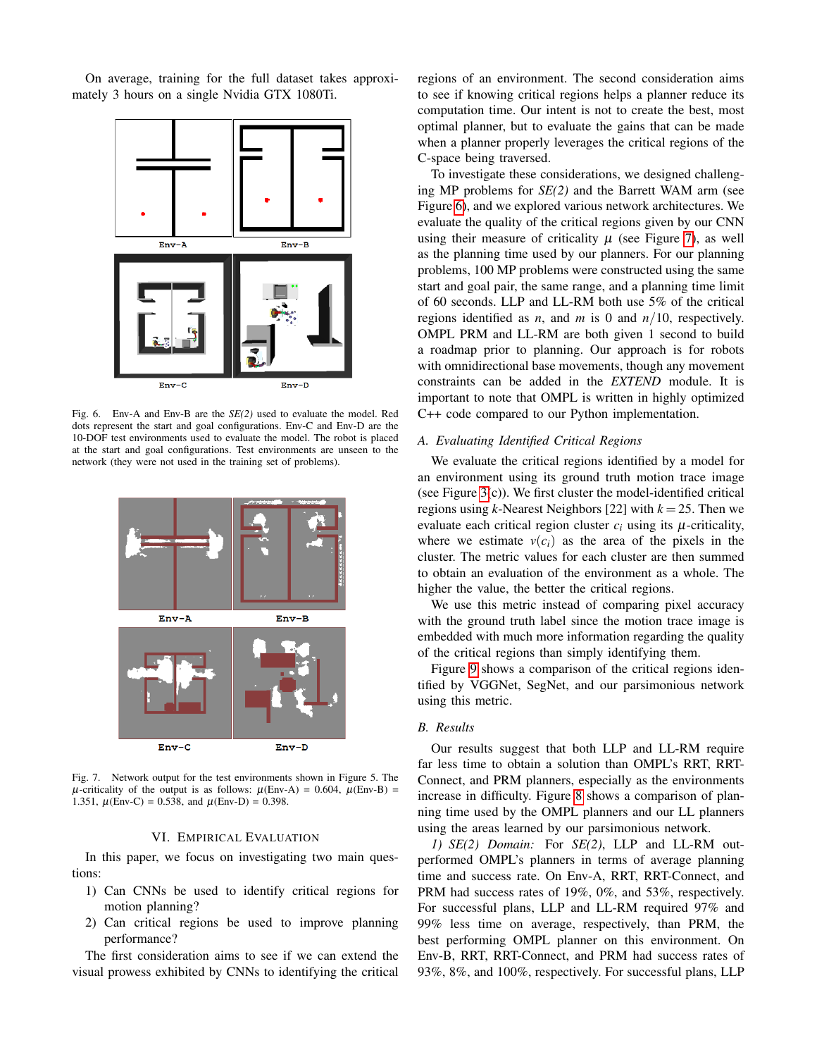On average, training for the full dataset takes approximately 3 hours on a single Nvidia GTX 1080Ti.



Fig. 6. Env-A and Env-B are the *SE(2)* used to evaluate the model. Red dots represent the start and goal configurations. Env-C and Env-D are the 10-DOF test environments used to evaluate the model. The robot is placed at the start and goal configurations. Test environments are unseen to the network (they were not used in the training set of problems).



Fig. 7. Network output for the test environments shown in Figure 5. The  $\mu$ -criticality of the output is as follows:  $\mu$ (Env-A) = 0.604,  $\mu$ (Env-B) = 1.351,  $\mu(\text{Env-C}) = 0.538$ , and  $\mu(\text{Env-D}) = 0.398$ .

#### VI. EMPIRICAL EVALUATION

In this paper, we focus on investigating two main questions:

- 1) Can CNNs be used to identify critical regions for motion planning?
- 2) Can critical regions be used to improve planning performance?

The first consideration aims to see if we can extend the visual prowess exhibited by CNNs to identifying the critical

regions of an environment. The second consideration aims to see if knowing critical regions helps a planner reduce its computation time. Our intent is not to create the best, most optimal planner, but to evaluate the gains that can be made when a planner properly leverages the critical regions of the C-space being traversed.

To investigate these considerations, we designed challenging MP problems for *SE(2)* and the Barrett WAM arm (see Figure [6\)](#page-5-0), and we explored various network architectures. We evaluate the quality of the critical regions given by our CNN using their measure of criticality  $\mu$  (see Figure [7\)](#page-5-1), as well as the planning time used by our planners. For our planning problems, 100 MP problems were constructed using the same start and goal pair, the same range, and a planning time limit of 60 seconds. LLP and LL-RM both use 5% of the critical regions identified as *n*, and *m* is 0 and  $n/10$ , respectively. OMPL PRM and LL-RM are both given 1 second to build a roadmap prior to planning. Our approach is for robots with omnidirectional base movements, though any movement constraints can be added in the *EXTEND* module. It is important to note that OMPL is written in highly optimized C++ code compared to our Python implementation.

# <span id="page-5-0"></span>*A. Evaluating Identified Critical Regions*

We evaluate the critical regions identified by a model for an environment using its ground truth motion trace image (see Figure  $3(c)$ ). We first cluster the model-identified critical regions using *k*-Nearest Neighbors [22] with  $k = 25$ . Then we evaluate each critical region cluster  $c_i$  using its  $\mu$ -criticality, where we estimate  $v(c_i)$  as the area of the pixels in the cluster. The metric values for each cluster are then summed to obtain an evaluation of the environment as a whole. The higher the value, the better the critical regions.

We use this metric instead of comparing pixel accuracy with the ground truth label since the motion trace image is embedded with much more information regarding the quality of the critical regions than simply identifying them.

Figure [9](#page-6-0) shows a comparison of the critical regions identified by VGGNet, SegNet, and our parsimonious network using this metric.

# *B. Results*

<span id="page-5-1"></span>Our results suggest that both LLP and LL-RM require far less time to obtain a solution than OMPL's RRT, RRT-Connect, and PRM planners, especially as the environments increase in difficulty. Figure [8](#page-6-1) shows a comparison of planning time used by the OMPL planners and our LL planners using the areas learned by our parsimonious network.

*1) SE(2) Domain:* For *SE(2)*, LLP and LL-RM outperformed OMPL's planners in terms of average planning time and success rate. On Env-A, RRT, RRT-Connect, and PRM had success rates of 19%, 0%, and 53%, respectively. For successful plans, LLP and LL-RM required 97% and 99% less time on average, respectively, than PRM, the best performing OMPL planner on this environment. On Env-B, RRT, RRT-Connect, and PRM had success rates of 93%, 8%, and 100%, respectively. For successful plans, LLP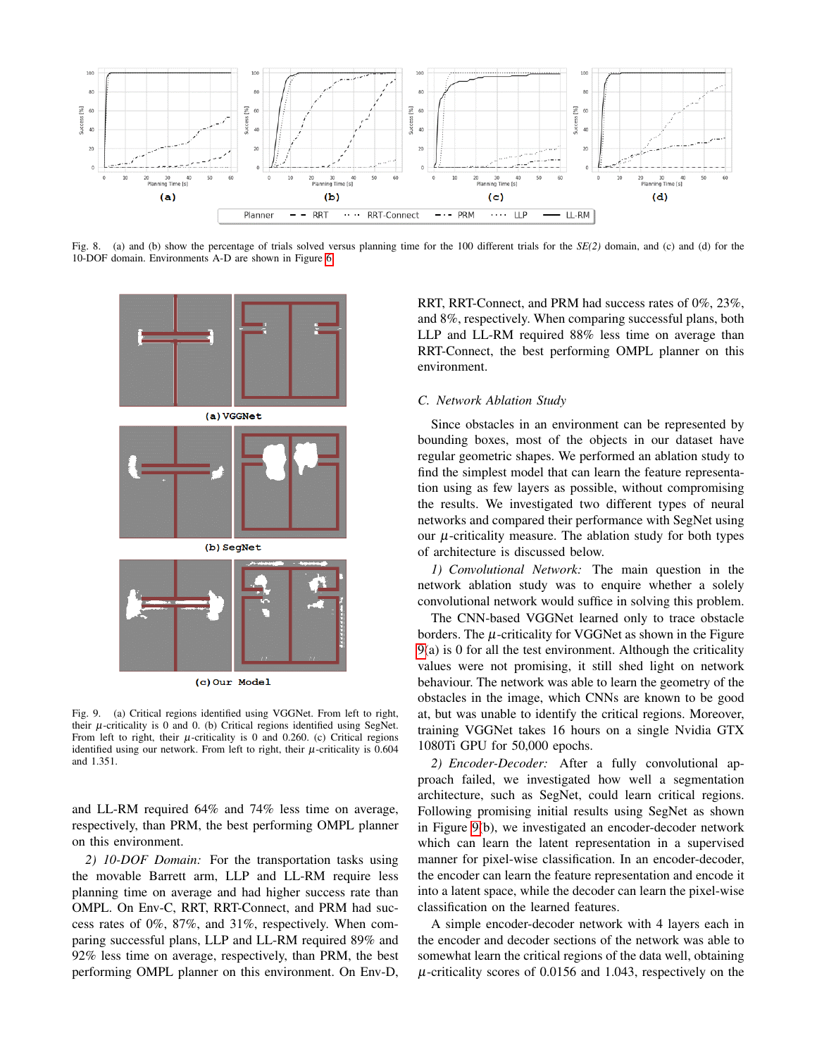

Fig. 8. (a) and (b) show the percentage of trials solved versus planning time for the 100 different trials for the *SE(2)* domain, and (c) and (d) for the 10-DOF domain. Environments A-D are shown in Figure [6.](#page-5-0)



(c) Our Model

Fig. 9. (a) Critical regions identified using VGGNet. From left to right, their  $\mu$ -criticality is 0 and 0. (b) Critical regions identified using SegNet. From left to right, their  $\mu$ -criticality is 0 and 0.260. (c) Critical regions identified using our network. From left to right, their  $\mu$ -criticality is 0.604 and 1.351.

and LL-RM required 64% and 74% less time on average, respectively, than PRM, the best performing OMPL planner on this environment.

*2) 10-DOF Domain:* For the transportation tasks using the movable Barrett arm, LLP and LL-RM require less planning time on average and had higher success rate than OMPL. On Env-C, RRT, RRT-Connect, and PRM had success rates of 0%, 87%, and 31%, respectively. When comparing successful plans, LLP and LL-RM required 89% and 92% less time on average, respectively, than PRM, the best performing OMPL planner on this environment. On Env-D,

<span id="page-6-1"></span>RRT, RRT-Connect, and PRM had success rates of 0%, 23%, and 8%, respectively. When comparing successful plans, both LLP and LL-RM required 88% less time on average than RRT-Connect, the best performing OMPL planner on this environment.

#### *C. Network Ablation Study*

Since obstacles in an environment can be represented by bounding boxes, most of the objects in our dataset have regular geometric shapes. We performed an ablation study to find the simplest model that can learn the feature representation using as few layers as possible, without compromising the results. We investigated two different types of neural networks and compared their performance with SegNet using our  $\mu$ -criticality measure. The ablation study for both types of architecture is discussed below.

*1) Convolutional Network:* The main question in the network ablation study was to enquire whether a solely convolutional network would suffice in solving this problem.

<span id="page-6-0"></span>The CNN-based VGGNet learned only to trace obstacle borders. The  $\mu$ -criticality for VGGNet as shown in the Figure [9\(](#page-6-0)a) is 0 for all the test environment. Although the criticality values were not promising, it still shed light on network behaviour. The network was able to learn the geometry of the obstacles in the image, which CNNs are known to be good at, but was unable to identify the critical regions. Moreover, training VGGNet takes 16 hours on a single Nvidia GTX 1080Ti GPU for 50,000 epochs.

*2) Encoder-Decoder:* After a fully convolutional approach failed, we investigated how well a segmentation architecture, such as SegNet, could learn critical regions. Following promising initial results using SegNet as shown in Figure [9\(](#page-6-0)b), we investigated an encoder-decoder network which can learn the latent representation in a supervised manner for pixel-wise classification. In an encoder-decoder, the encoder can learn the feature representation and encode it into a latent space, while the decoder can learn the pixel-wise classification on the learned features.

A simple encoder-decoder network with 4 layers each in the encoder and decoder sections of the network was able to somewhat learn the critical regions of the data well, obtaining  $\mu$ -criticality scores of 0.0156 and 1.043, respectively on the